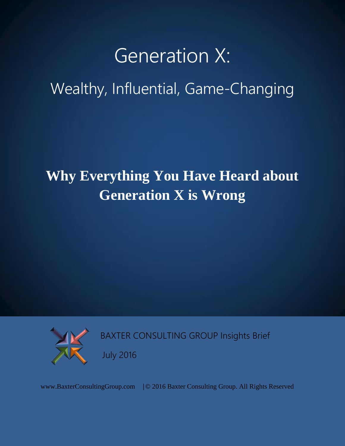# Generation X:

# Wealthy, Influential, Game-Changing

# **Why Everything You Have Heard about Generation X is Wrong**



BAXTER CONSULTING GROUP Insights Brief

July 2016

www.BaxterConsultingGroup.com |© 2016 Baxter Consulting Group. All Rights Reserved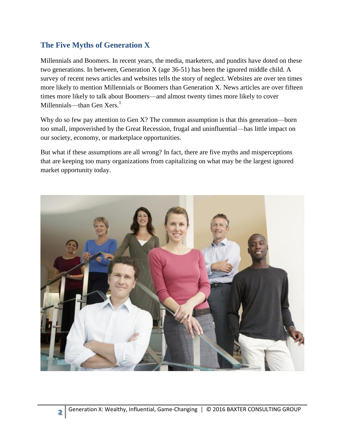#### **The Five Myths of Generation X**

**2**

Millennials and Boomers. In recent years, the media, marketers, and pundits have doted on these two generations. In between, Generation X (age 36-51) has been the ignored middle child. A survey of recent news articles and websites tells the story of neglect. Websites are over ten times more likely to mention Millennials or Boomers than Generation X. News articles are over fifteen times more likely to talk about Boomers—and almost twenty times more likely to cover Millennials—than Gen Xers.<sup>1</sup>

Why do so few pay attention to Gen X? The common assumption is that this generation—born too small, impoverished by the Great Recession, frugal and uninfluential—has little impact on our society, economy, or marketplace opportunities.

But what if these assumptions are all wrong? In fact, there are five myths and misperceptions that are keeping too many organizations from capitalizing on what may be the largest ignored market opportunity today.

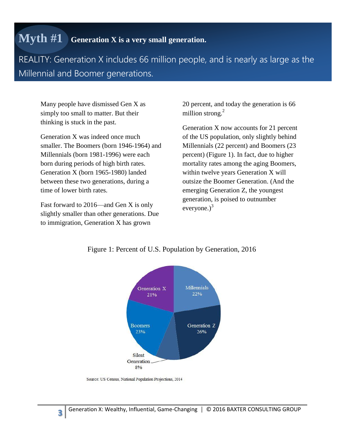#### **Myth #1 Generation X is a very small generation.**

REALITY: Generation X includes 66 million people, and is nearly as large as the Millennial and Boomer generations.

Many people have dismissed Gen X as simply too small to matter. But their thinking is stuck in the past.

Generation X was indeed once much smaller. The Boomers (born 1946-1964) and Millennials (born 1981-1996) were each born during periods of high birth rates. Generation X (born 1965-1980) landed between these two generations, during a time of lower birth rates.

Fast forward to 2016—and Gen X is only slightly smaller than other generations. Due to immigration, Generation X has grown

20 percent, and today the generation is 66 million strong.<sup>2</sup>

Generation X now accounts for 21 percent of the US population, only slightly behind Millennials (22 percent) and Boomers (23 percent) (Figure 1). In fact, due to higher mortality rates among the aging Boomers, within twelve years Generation X will outsize the Boomer Generation. (And the emerging Generation Z, the youngest generation, is poised to outnumber everyone. $)^3$ 



Figure 1: Percent of U.S. Population by Generation, 2016

Source: US Census, National Population Projections, 2014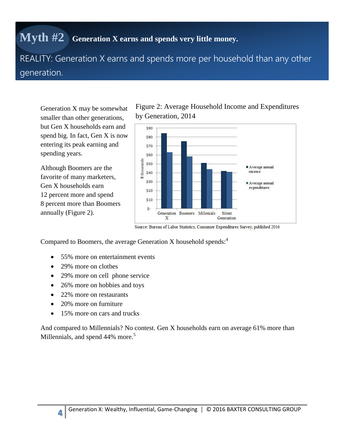#### **Myth #2 Generation X earns and spends very little money.**

REALITY: Generation X earns and spends more per household than any other generation.

Generation X may be somewhat smaller than other generations, but Gen X households earn and spend big. In fact, Gen X is now entering its peak earning and spending years.

Although Boomers are the favorite of many marketers, Gen X households earn 12 percent more and spend 8 percent more than Boomers annually (Figure 2).

Figure 2: Average Household Income and Expenditures by Generation, 2014



Source: Bureau of Labor Statistics, Consumer Expenditures Survey, published 2016

Compared to Boomers, the average Generation X household spends:<sup>4</sup>

- 55% more on entertainment events
- 29% more on clothes
- 29% more on cell phone service
- 26% more on hobbies and toys
- 22% more on restaurants
- 20% more on furniture

**4**

• 15% more on cars and trucks

And compared to Millennials? No contest. Gen X households earn on average 61% more than Millennials, and spend 44% more.<sup>5</sup>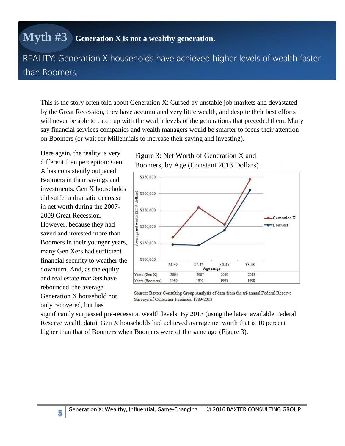### **Myth #3 Generation X is not a wealthy generation.**

REALITY: Generation X households have achieved higher levels of wealth faster than Boomers.

This is the story often told about Generation X: Cursed by unstable job markets and devastated by the Great Recession, they have accumulated very little wealth, and despite their best efforts will never be able to catch up with the wealth levels of the generations that preceded them. Many say financial services companies and wealth managers would be smarter to focus their attention on Boomers (or wait for Millennials to increase their saving and investing).

Here again, the reality is very different than perception: Gen X has consistently outpaced Boomers in their savings and investments. Gen X households did suffer a dramatic decrease in net worth during the 2007- 2009 Great Recession. However, because they had saved and invested more than Boomers in their younger years, many Gen Xers had sufficient financial security to weather the downturn. And, as the equity and real estate markets have rebounded, the average Generation X household not only recovered, but has

**5**





Source: Baxter Consulting Group Analysis of data from the tri-annual Federal Reserve Surveys of Consumer Finances, 1989-2013

significantly surpassed pre-recession wealth levels. By 2013 (using the latest available Federal Reserve wealth data), Gen X households had achieved average net worth that is 10 percent higher than that of Boomers when Boomers were of the same age (Figure 3).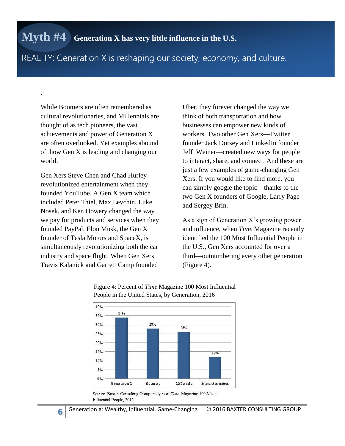#### REALITY: Generation X is reshaping our society, economy, and culture.

While Boomers are often remembered as cultural revolutionaries, and Millennials are thought of as tech pioneers, the vast achievements and power of Generation X are often overlooked. Yet examples abound of how Gen X is leading and changing our world.

.

Gen Xers Steve Chen and Chad Hurley revolutionized entertainment when they founded YouTube. A Gen X team which included Peter Thiel, Max Levchin, Luke Nosek, and Ken Howery changed the way we pay for products and services when they founded PayPal. Elon Musk, the Gen X founder of Tesla Motors and SpaceX, is simultaneously revolutionizing both the car industry and space flight. When Gen Xers Travis Kalanick and Garrett Camp founded

Uber, they forever changed the way we think of both transportation and how businesses can empower new kinds of workers. Two other Gen Xers—Twitter founder Jack Dorsey and LinkedIn founder Jeff Weiner—created new ways for people to interact, share, and connect. And these are just a few examples of game-changing Gen Xers. If you would like to find more, you can simply google the topic—thanks to the two Gen X founders of Google, Larry Page and Sergey Brin.

As a sign of Generation X's growing power and influence, when *Time* Magazine recently identified the 100 Most Influential People in the U.S., Gen Xers accounted for over a third—outnumbering every other generation (Figure 4).



#### Figure 4: Percent of *Time* Magazine 100 Most Influential People in the United States, by Generation, 2016

Source: Baxter Consulting Group analysis of Time Magazine 100 Most Influential People, 2016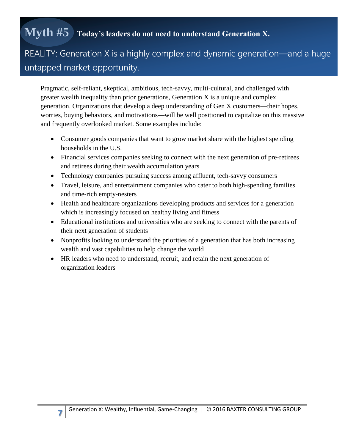## **Myth #5 Today's leaders do not need to understand Generation X.**

#### REALITY: Generation X is a highly complex and dynamic generation—and a huge untapped market opportunity.

Pragmatic, self-reliant, skeptical, ambitious, tech-savvy, multi-cultural, and challenged with greater wealth inequality than prior generations, Generation X is a unique and complex generation. Organizations that develop a deep understanding of Gen X customers—their hopes, worries, buying behaviors, and motivations—will be well positioned to capitalize on this massive and frequently overlooked market. Some examples include:

- Consumer goods companies that want to grow market share with the highest spending households in the U.S.
- Financial services companies seeking to connect with the next generation of pre-retirees and retirees during their wealth accumulation years
- Technology companies pursuing success among affluent, tech-savvy consumers
- Travel, leisure, and entertainment companies who cater to both high-spending families and time-rich empty-nesters
- Health and healthcare organizations developing products and services for a generation which is increasingly focused on healthy living and fitness
- Educational institutions and universities who are seeking to connect with the parents of their next generation of students
- Nonprofits looking to understand the priorities of a generation that has both increasing wealth and vast capabilities to help change the world
- HR leaders who need to understand, recruit, and retain the next generation of organization leaders

**7**